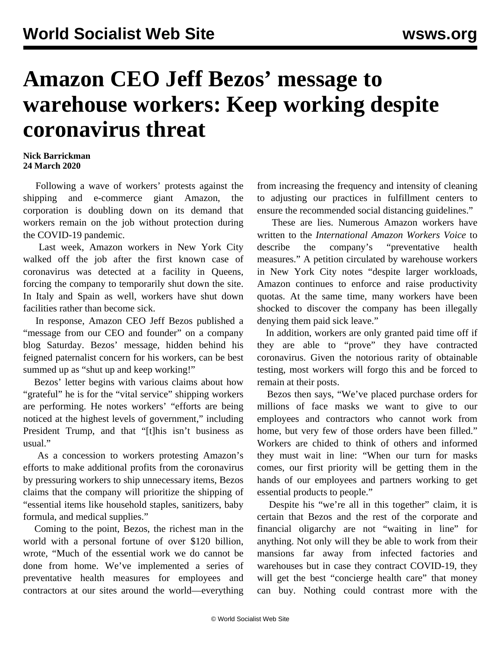## **Amazon CEO Jeff Bezos' message to warehouse workers: Keep working despite coronavirus threat**

## **Nick Barrickman 24 March 2020**

 Following a wave of workers' protests against the shipping and e-commerce giant Amazon, the corporation is doubling down on its demand that workers remain on the job without protection during the COVID-19 pandemic.

 Last week, Amazon workers in New York City [walked off the job](/en/articles/2020/03/21/anyc-m21.html) after the first known case of coronavirus was detected at a facility in Queens, forcing the company to temporarily shut down the site. In Italy and Spain as well, workers have shut down facilities rather than become sick.

 In response, Amazon CEO Jeff Bezos published a "message from our CEO and founder" on a company blog Saturday. Bezos' message, hidden behind his feigned paternalist concern for his workers, can be best summed up as "shut up and keep working!"

 Bezos' [letter](https://blog.aboutamazon.com/company-news/a-message-from-our-ceo-and-founder) begins with various claims about how "grateful" he is for the "vital service" shipping workers are performing. He notes workers' "efforts are being noticed at the highest levels of government," including President Trump, and that "[t]his isn't business as usual."

 As a concession to workers protesting Amazon's efforts to make additional profits from the coronavirus by pressuring workers to ship unnecessary items, Bezos claims that the company will prioritize the shipping of "essential items like household staples, sanitizers, baby formula, and medical supplies."

 Coming to the point, Bezos, the richest man in the world with a personal fortune of over \$120 billion, wrote, "Much of the essential work we do cannot be done from home. We've implemented a series of preventative health measures for employees and contractors at our sites around the world—everything from increasing the frequency and intensity of cleaning to adjusting our practices in fulfillment centers to ensure the recommended social distancing guidelines."

 These are lies. Numerous Amazon workers have written to the *International Amazon Workers Voice* to [describe](/en/articles/2020/03/19/amaz-m19.html) the company's "preventative health measures." A [petition](https://medium.com/@amazoniansunitednyc/we-amazon-workers-demand-coronavirus-protections-16f28ad8b15f) circulated by warehouse workers in New York City notes "despite larger workloads, Amazon continues to enforce and raise productivity quotas. At the same time, many workers have been shocked to discover the company has been illegally denying them paid sick leave."

 In addition, workers are only granted paid time off if they are able to "prove" they have contracted coronavirus. Given the notorious rarity of obtainable testing, most workers will forgo this and be forced to remain at their posts.

 Bezos then says, "We've placed purchase orders for millions of face masks we want to give to our employees and contractors who cannot work from home, but very few of those orders have been filled." Workers are chided to think of others and informed they must wait in line: "When our turn for masks comes, our first priority will be getting them in the hands of our employees and partners working to get essential products to people."

 Despite his "we're all in this together" claim, it is certain that Bezos and the rest of the corporate and financial oligarchy are not "waiting in line" for anything. Not only will they be able to work from their mansions far away from infected factories and warehouses but in case they contract COVID-19, they will get the best "concierge health care" that money can buy. Nothing could contrast more with the